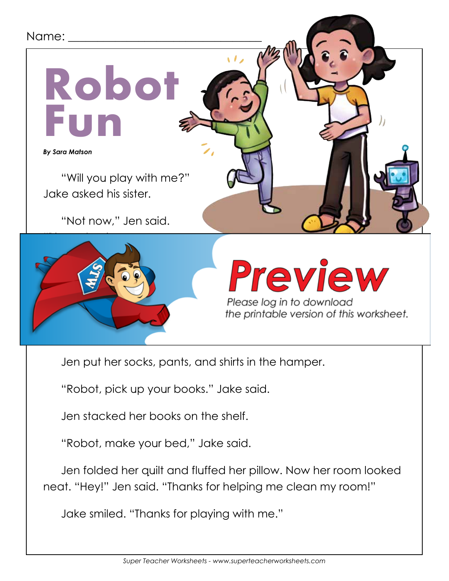## Robo<sup>®</sup> **Fun** *By Sara Matson* Name: "Will you play with me?" Jake asked his sister. "Not now," Jen said. "I have to clean my room.



### $\sqrt{2}$  sock. The put it down. Then she put it down. "I have an idea," Jake said. "Pretend you are a robot. I will be

the printable version of this worksheet.

Jen put her socks, pants, and shirts in the hamper.

"Robot, pick up your books." Jake said.

Jen stacked her books on the shelf.

"Robot, make your bed," Jake said.

Jen folded her quilt and fluffed her pillow. Now her room looked neat. "Hey!" Jen said. "Thanks for helping me clean my room!"

Jake smiled. "Thanks for playing with me."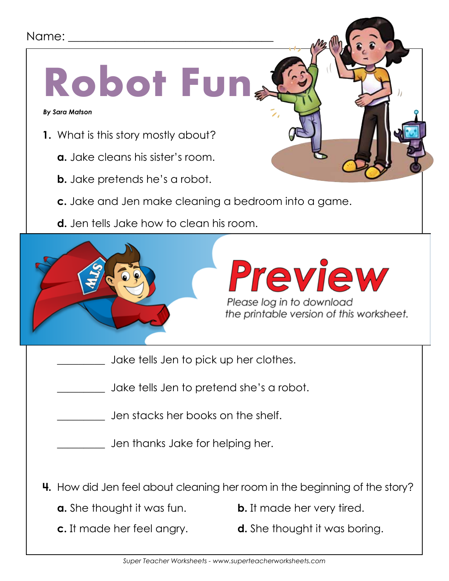#### Name: \_\_\_\_\_\_\_\_\_\_\_\_\_\_\_\_\_\_\_\_\_\_\_\_\_\_\_\_\_\_\_\_\_\_\_

# **Robot Fun**

*By Sara Matson*

- **1.** What is this story mostly about?
	- **a.** Jake cleans his sister's room.
	- **b.** Jake pretends he's a robot.
	- **c.** Jake and Jen make cleaning a bedroom into a game.
	- **d.** Jen tells Jake how to clean his room.



- Jake tells Jen to pick up her clothes.
- \_\_\_\_\_\_\_\_\_ Jake tells Jen to pretend she's a robot.
- \_\_\_\_\_\_\_\_\_ Jen stacks her books on the shelf.

\_\_\_\_\_\_\_\_\_ Jen thanks Jake for helping her.

- **4.** How did Jen feel about cleaning her room in the beginning of the story?
	-
	- **a.** She thought it was fun. **b.** It made her very tired.
	-
	- **c.** It made her feel angry. **d.** She thought it was boring.